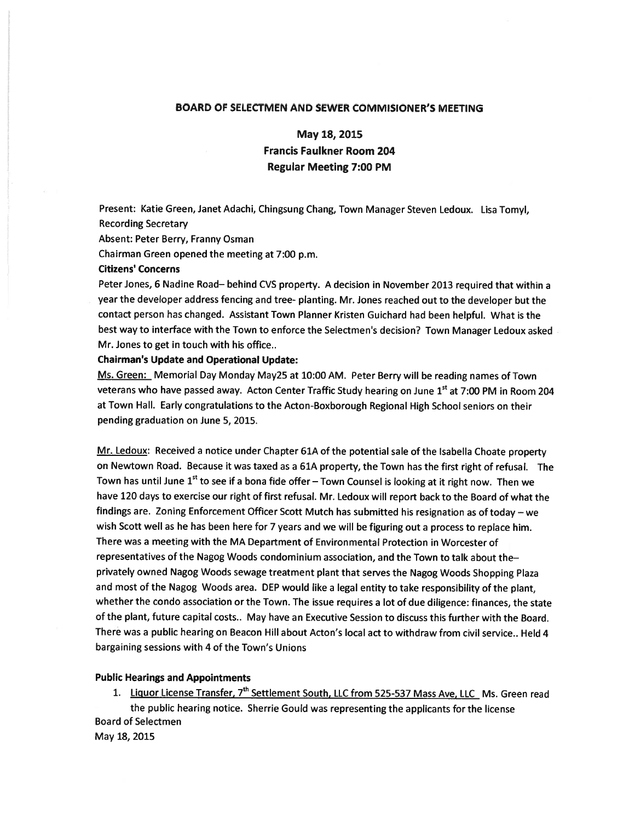## BOARD OF SELECTMEN AND SEWER COMMISIONER'S MEETING

May 18, 2015

# Francis Faulkner Room 204 Regular Meeting 7:00 PM

Present: Katie Green, Janet Adachi, Chingsung Chang, Town Manager Steven Ledoux. Lisa Tomyl, Recording Secretary

Absent: Peter Berry, Franny Osman

Chairman Green opened the meeting at 7:00 p.m.

### Citizens' Concerns

Peter Jones, <sup>6</sup> Nadine Road— behind CVS property. <sup>A</sup> decision in November <sup>2013</sup> required that within <sup>a</sup> year the developer address fencing and tree- <sup>p</sup>lanting. Mr. Jones reached out to the developer but the contact person has changed. Assistant Town Planner Kristen Guichard had been helpful. What is the best way to interface with the Town to enforce the Selectmen's decision? Town Manager Ledoux asked Mr. Jones to ge<sup>t</sup> in touch with his office..

#### Chairman's Update and Operational Update:

Ms. Green: Memorial Day Monday May25 at 10:00 AM. Peter Berry will be reading names of Town veterans who have passed away. Acton Center Traffic Study hearing on June 1<sup>st</sup> at 7:00 PM in Room 204 at Town Hall. Early congratulations to the Acton-Boxborough Regional High School seniors on their pending graduation on June 5, 2015.

Mr. Ledoux: Received a notice under Chapter 61A of the potential sale of the Isabella Choate property on Newtown Road. Because it was taxed as <sup>a</sup> 61A property, the Town has the first right of refusal. The Town has until June  $1<sup>st</sup>$  to see if a bona fide offer – Town Counsel is looking at it right now. Then we have <sup>120</sup> days to exercise our right of first refusal. Mr. Ledoux will repor<sup>t</sup> back to the Board of what the findings are. Zoning Enforcement Officer Scott Mutch has submitted his resignation as of today —we wish Scott well as he has been here for <sup>7</sup> years and we will be figuring out <sup>a</sup> process to replace him. There was <sup>a</sup> meeting with the MA Department of Environmental Protection in Worcester of representatives of the Nagog Woods condominium association, and the Town to talk about the privately owned Nagog Woods sewage treatment <sup>p</sup>lant that serves the Nagog Woods Shopping Plaza and most of the Nagog Woods area. DEP would like <sup>a</sup> legal entity to take responsibility of the <sup>p</sup>lant, whether the condo association or the Town. The issue requires <sup>a</sup> lot of due diligence: finances, the state of the plant, future capital costs.. May have an Executive Session to discuss this further with the Board. There was <sup>a</sup> public hearing on Beacon Hill about Acton's local act to withdraw from civil service.. Held 4 bargaining sessions with 4 of the Town's Unions

#### Public Hearings and Appointments

1. Liquor License Transfer, 7<sup>th</sup> Settlement South, LLC from 525-537 Mass Ave, LLC Ms. Green read the public hearing notice. Sherrie Gould was representing the applicants for the license Board of Selectmen May 18, 2015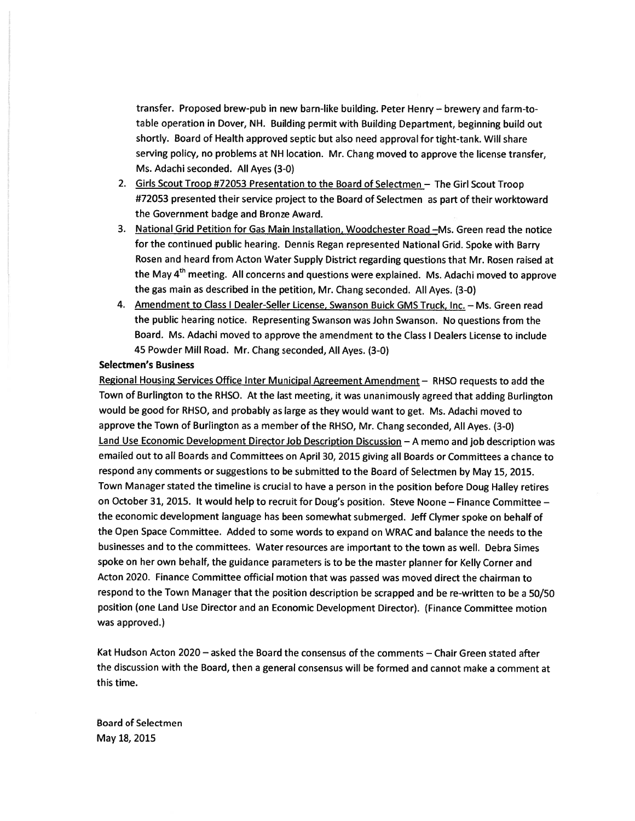transfer. Proposed brew-pub in new barn-like building. Peter Henry — brewery and farm-totable operation in Dover, NH. Building permit with Building Department, beginning build out shortly. Board of Health approved septic but also need approva<sup>l</sup> for tight-tank. Will share serving policy, no problems at NH location. Mr. Chang moved to approve the license transfer, Ms. Adachi seconded. All Ayes (3-0)

- 2. Girls Scout Troop #72053 Presentation to the Board of Selectmen The Girl Scout Troop #72053 presented their service project to the Board of Selectmen as par<sup>t</sup> of their worktoward the Government badge and Bronze Award.
- 3. National Grid Petition for Gas Main Installation, Woodchester Road —Ms. Green read the notice for the continued public hearing. Dennis Regan represented National Grid. Spoke with Barry Rosen and heard from Acton Water Supply District regarding questions that Mr. Rosen raised at the May 4<sup>th</sup> meeting. All concerns and questions were explained. Ms. Adachi moved to approve the gas main as described in the petition, Mr. Chang seconded. All Ayes. (3-0)
- 4. Amendment to Class I Dealer-Seller License, Swanson Buick GMS Truck, Inc. Ms. Green read the public hearing notice. Representing Swanson was John Swanson. No questions from the Board. Ms. Adachi moved to approve the amendment to the Class I Dealers License to include 45 Powder Mill Road. Mr. Chang seconded, All Ayes. (3-0)

#### Selectmen's Business

Regional Housing Services Office Inter Municipal Agreement Amendment — RHSO requests to add the Town of Burlington to the RHSO. At the last meeting, it was unanimously agree<sup>d</sup> that adding Burlington would be goo<sup>d</sup> for RHSO, and probably as large as they would want to get. Ms. Adachi moved to approve the Town of Burlington as <sup>a</sup> member of the RHSO, Mr. Chang seconded, All Ayes. (3-0) Land Use Economic Development Director Job Description Discussion — <sup>A</sup> memo and job description was emailed out to all Boards and Committees on April 30, <sup>2015</sup> <sup>g</sup>iving all Boards or Committees <sup>a</sup> chance to respon<sup>d</sup> any comments or suggestions to be submitted to the Board of Selectmen by May 15, 2015. Town Manager stated the timeline is crucial to have <sup>a</sup> person in the position before Doug Halley retires on October 31, 2015. It would help to recruit for Doug's position. Steve Noone — Finance Committee the economic development language has been somewhat submerged. Jeff Clymer spoke on behalf of the Open Space Committee. Added to some words to expand on WRAC and balance the needs to the businesses and to the committees. Water resources are important to the town as well. Debra Simes spoke on her own behalf, the guidance parameters is to be the master <sup>p</sup>lanner for Kelly Corner and Acton 2020. Finance Committee official motion that was passe<sup>d</sup> was moved direct the chairman to respond to the Town Manager that the position description be scrapped and be re-written to be <sup>a</sup> 50/50 position (one Land Use Director and an Economic Development Director). (Finance Committee motion was approved.)

Kat Hudson Acton 2020— asked the Board the consensus of the comments — Chair Green stated after the discussion with the Board, then <sup>a</sup> general consensus will be formed and cannot make <sup>a</sup> comment at this time.

Board of Selectmen May 18, 2015